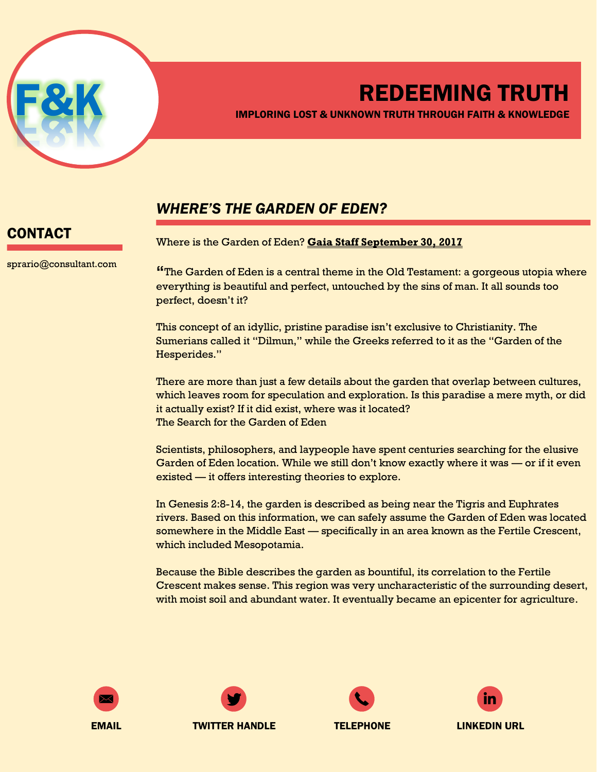

# REDEEMING TRUTH

IMPLORING LOST & UNKNOWN TRUTH THROUGH FAITH & KNOWLEDGE

### *WHERE'S THE GARDEN OF EDEN?*

## CONTACT

sprario@consultant.com

Where is the Garden of Eden? **Gaia Staff September 30, 2017**

**"**The Garden of Eden is a central theme in the Old Testament: a gorgeous utopia where everything is beautiful and perfect, untouched by the sins of man. It all sounds too perfect, doesn't it?

This concept of an idyllic, pristine paradise isn't exclusive to Christianity. The Sumerians called it "Dilmun," while the Greeks referred to it as the "Garden of the Hesperides."

There are more than just a few details about the garden that overlap between cultures, which leaves room for speculation and exploration. Is this paradise a mere myth, or did it actually exist? If it did exist, where was it located? The Search for the Garden of Eden

Scientists, philosophers, and laypeople have spent centuries searching for the elusive Garden of Eden location. While we still don't know exactly where it was — or if it even existed — it offers interesting theories to explore.

In Genesis 2:8-14, the garden is described as being near the Tigris and Euphrates rivers. Based on this information, we can safely assume the Garden of Eden was located somewhere in the Middle East — specifically in an area known as the Fertile Crescent, which included Mesopotamia.

Because the Bible describes the garden as bountiful, its correlation to the Fertile Crescent makes sense. This region was very uncharacteristic of the surrounding desert, with moist soil and abundant water. It eventually became an epicenter for agriculture.









EMAIL TWITTER HANDLE TELEPHONE LINKEDIN URL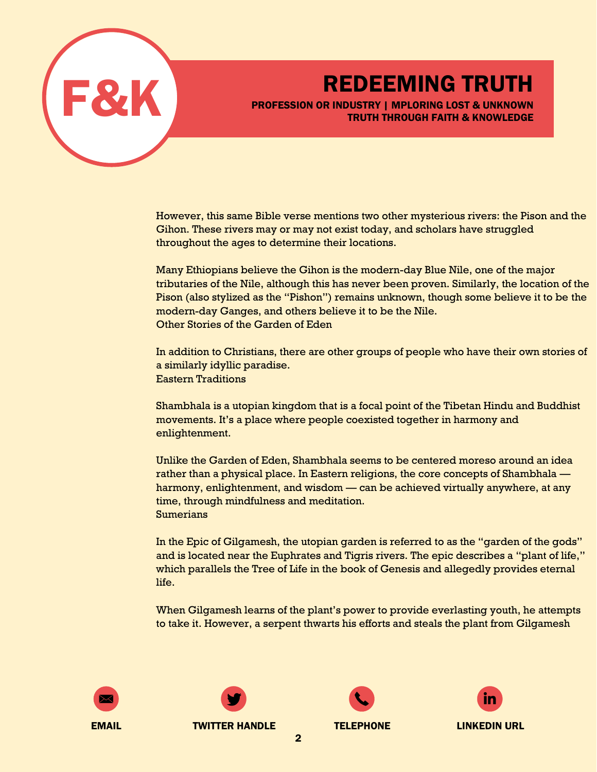

REDEEMING TRUTH<br>PROFESSION OR INDUSTRY | MPLORING LOST & UNKNOWN PROFESSION OR INDUSTRY | MPLORING LOST & UNKNOWN TRUTH THROUGH FAITH & KNOWLEDGE

> However, this same Bible verse mentions two other mysterious rivers: the Pison and the Gihon. These rivers may or may not exist today, and scholars have struggled throughout the ages to determine their locations.

> Many Ethiopians believe the Gihon is the modern-day Blue Nile, one of the major tributaries of the Nile, although this has never been proven. Similarly, the location of the Pison (also stylized as the "Pishon") remains unknown, though some believe it to be the modern-day Ganges, and others believe it to be the Nile. Other Stories of the Garden of Eden

> In addition to Christians, there are other groups of people who have their own stories of a similarly idyllic paradise. Eastern Traditions

Shambhala is a utopian kingdom that is a focal point of the Tibetan Hindu and Buddhist movements. It's a place where people coexisted together in harmony and enlightenment.

Unlike the Garden of Eden, Shambhala seems to be centered moreso around an idea rather than a physical place. In Eastern religions, the core concepts of Shambhala harmony, enlightenment, and wisdom — can be achieved virtually anywhere, at any time, through mindfulness and meditation. Sumerians

In the Epic of Gilgamesh, the utopian garden is referred to as the "garden of the gods" and is located near the Euphrates and Tigris rivers. The epic describes a "plant of life," which parallels the Tree of Life in the book of Genesis and allegedly provides eternal life.

When Gilgamesh learns of the plant's power to provide everlasting youth, he attempts to take it. However, a serpent thwarts his efforts and steals the plant from Gilgamesh









2